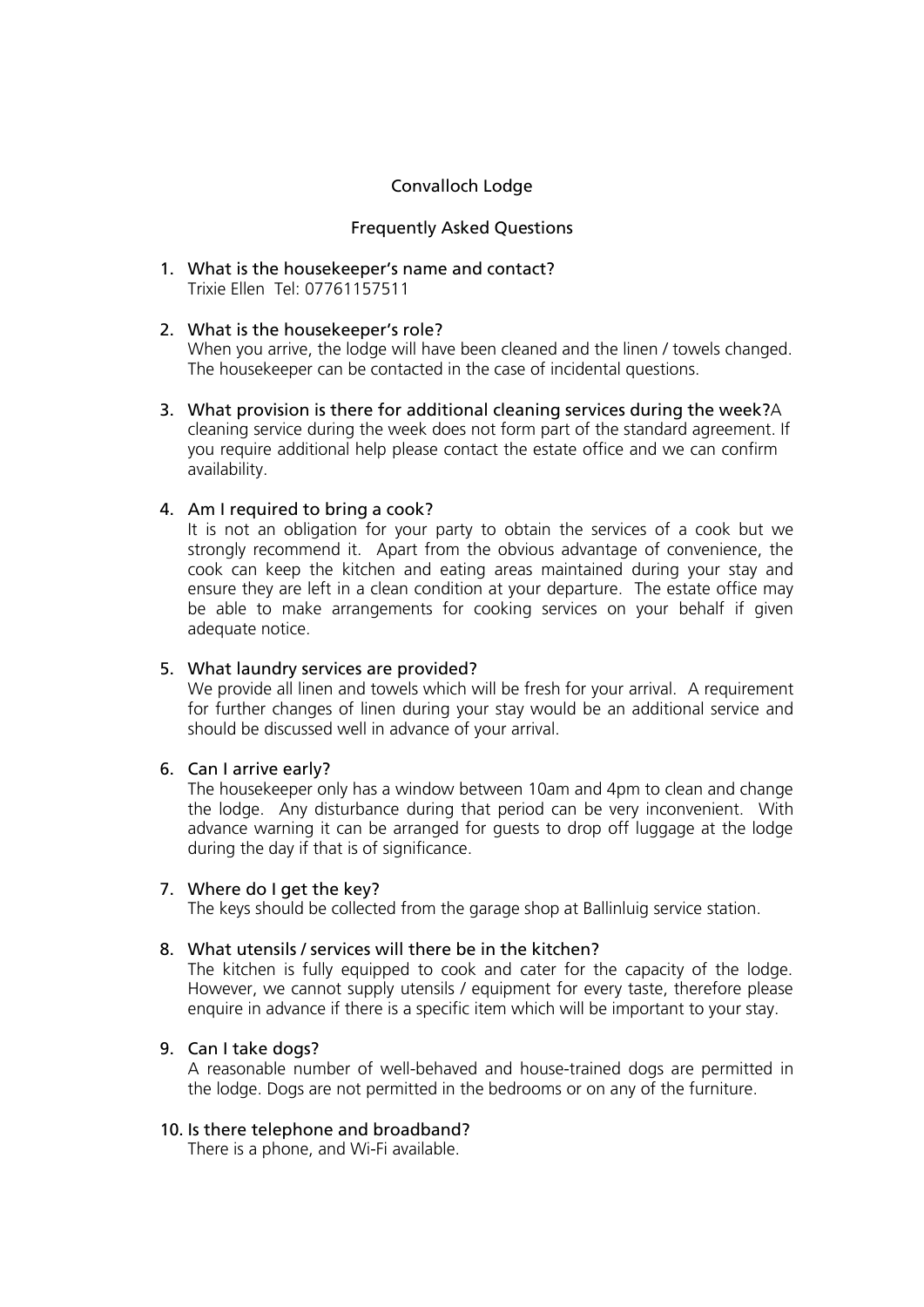# Convalloch Lodge

## Frequently Asked Questions

1. What is the housekeeper's name and contact? Trixie Ellen Tel: 07761157511

## 2. What is the housekeeper's role?

When you arrive, the lodge will have been cleaned and the linen / towels changed. The housekeeper can be contacted in the case of incidental questions.

3. What provision is there for additional cleaning services during the week?A cleaning service during the week does not form part of the standard agreement. If you require additional help please contact the estate office and we can confirm availability.

## 4. Am I required to bring a cook?

It is not an obligation for your party to obtain the services of a cook but we strongly recommend it. Apart from the obvious advantage of convenience, the cook can keep the kitchen and eating areas maintained during your stay and ensure they are left in a clean condition at your departure. The estate office may be able to make arrangements for cooking services on your behalf if given adequate notice.

## 5. What laundry services are provided?

We provide all linen and towels which will be fresh for your arrival. A requirement for further changes of linen during your stay would be an additional service and should be discussed well in advance of your arrival.

### 6. Can I arrive early?

The housekeeper only has a window between 10am and 4pm to clean and change the lodge. Any disturbance during that period can be very inconvenient. With advance warning it can be arranged for guests to drop off luggage at the lodge during the day if that is of significance.

### 7. Where do I get the key?

The keys should be collected from the garage shop at Ballinluig service station.

### 8. What utensils / services will there be in the kitchen?

The kitchen is fully equipped to cook and cater for the capacity of the lodge. However, we cannot supply utensils / equipment for every taste, therefore please enquire in advance if there is a specific item which will be important to your stay.

### 9. Can I take dogs?

A reasonable number of well-behaved and house-trained dogs are permitted in the lodge. Dogs are not permitted in the bedrooms or on any of the furniture.

### 10. Is there telephone and broadband?

There is a phone, and Wi-Fi available.